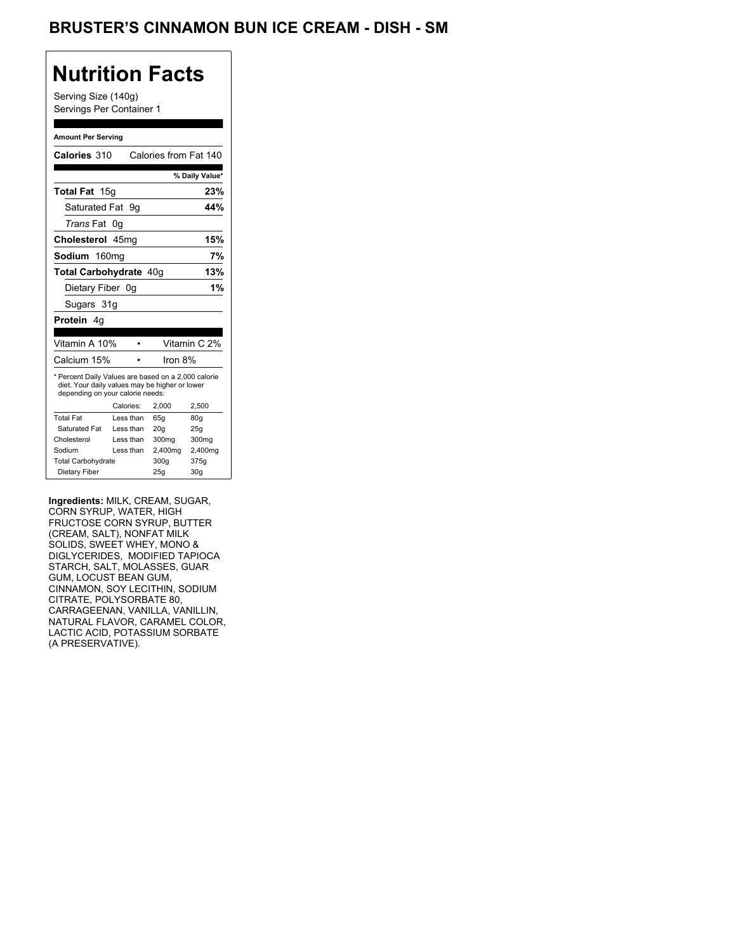## BRUSTER'S CINNAMON BUN ICE CREAM - DISH - SM

## **Nutrition Facts**

Serving Size (140g) Servings Per Container 1

#### **Amount Per Serving**

| Calories 310                                                                                                                              |           | Calories from Fat 140 |                         |
|-------------------------------------------------------------------------------------------------------------------------------------------|-----------|-----------------------|-------------------------|
|                                                                                                                                           |           |                       | % Daily Value*          |
| Total Fat 15g                                                                                                                             |           |                       | 23%                     |
| Saturated Fat                                                                                                                             | 9g        |                       | 44%                     |
| <i>Trans</i> Fat                                                                                                                          | 0g        |                       |                         |
| Cholesterol 45mg                                                                                                                          |           |                       | 15%                     |
| Sodium 160mg                                                                                                                              |           |                       | 7%                      |
| Total Carbohydrate 40q                                                                                                                    |           |                       | 13%                     |
| Dietary Fiber 0q                                                                                                                          |           |                       | 1%                      |
| Sugars 31g                                                                                                                                |           |                       |                         |
|                                                                                                                                           |           |                       |                         |
| <b>Protein</b> 4a                                                                                                                         |           |                       |                         |
| Vitamin A 10%                                                                                                                             |           |                       |                         |
| Calcium 15%                                                                                                                               |           | Iron 8%               | Vitamin C 2%            |
| * Percent Daily Values are based on a 2,000 calorie<br>diet. Your daily values may be higher or lower<br>depending on your calorie needs: |           |                       |                         |
|                                                                                                                                           | Calories: | 2,000                 | 2,500                   |
| <b>Total Fat</b>                                                                                                                          | Less than | 65q                   | 80q                     |
| Saturated Fat                                                                                                                             | Less than | 20q                   | 25q                     |
| Cholesterol                                                                                                                               | Less than | 300mg                 | 300mg                   |
| Sodium                                                                                                                                    | Less than | 2,400mg               | 2,400mg                 |
| <b>Total Carbohydrate</b>                                                                                                                 |           | 300g                  | 375g<br>30 <sub>g</sub> |

**Ingredients:** MILK, CREAM, SUGAR, CORN SYRUP, WATER, HIGH FRUCTOSE CORN SYRUP, BUTTER (CREAM, SALT), NONFAT MILK SOLIDS, SWEET WHEY, MONO & DIGLYCERIDES, MODIFIED TAPIOCA STARCH, SALT, MOLASSES, GUAR GUM, LOCUST BEAN GUM, CINNAMON, SOY LECITHIN, SODIUM CITRATE, POLYSORBATE 80, CARRAGEENAN, VANILLA, VANILLIN, NATURAL FLAVOR, CARAMEL COLOR, LACTIC ACID, POTASSIUM SORBATE (A PRESERVATIVE).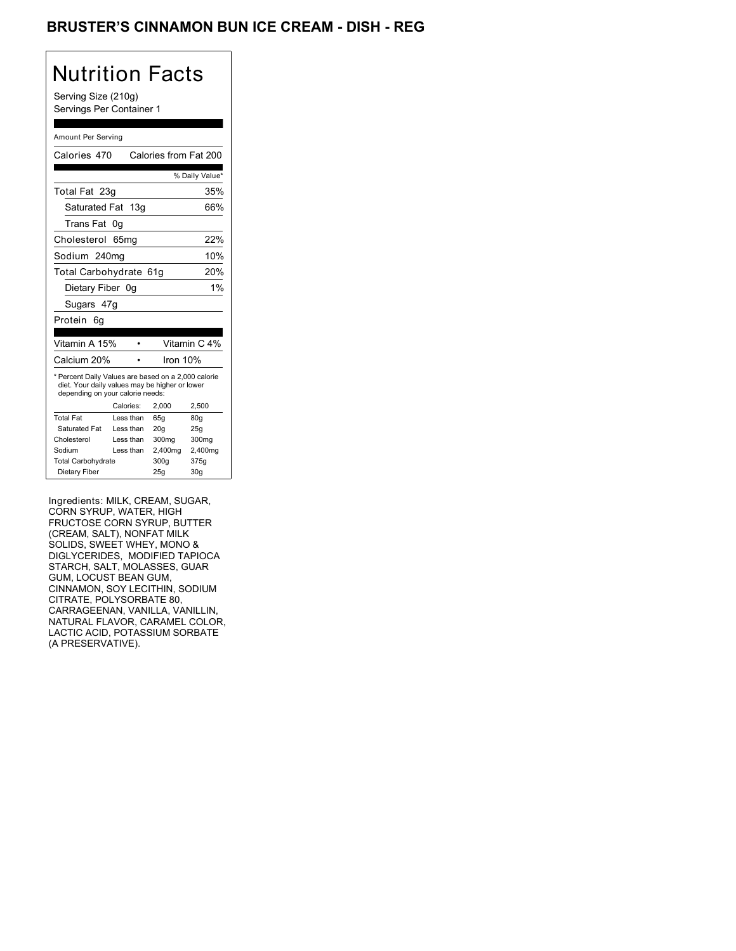## BRUSTER'S CINNAMON BUN ICE CREAM - DISH - REG

# Nutrition Facts

Serving Size (210g) Servings Per Container 1

#### Amount Per Serving

| Calories 470                                                                                                                              |                  |  | Calories from Fat 200 |                 |
|-------------------------------------------------------------------------------------------------------------------------------------------|------------------|--|-----------------------|-----------------|
|                                                                                                                                           |                  |  |                       | % Daily Value*  |
| Total Fat 23g                                                                                                                             |                  |  |                       | 35%             |
| Saturated Fat 13g                                                                                                                         |                  |  |                       | 66%             |
| Trans Fat                                                                                                                                 | 0g               |  |                       |                 |
| Cholesterol                                                                                                                               | 65 <sub>mq</sub> |  |                       | 22%             |
| Sodium 240mg                                                                                                                              |                  |  |                       | 10%             |
| Total Carbohydrate 61g                                                                                                                    |                  |  |                       | 20%             |
| Dietary Fiber 0g                                                                                                                          |                  |  |                       | 1%              |
| Sugars 47g                                                                                                                                |                  |  |                       |                 |
| Protein<br>6q                                                                                                                             |                  |  |                       |                 |
|                                                                                                                                           |                  |  |                       |                 |
| Vitamin A 15%                                                                                                                             |                  |  |                       | Vitamin C 4%    |
| Calcium 20%                                                                                                                               |                  |  | Iron 10%              |                 |
| * Percent Daily Values are based on a 2,000 calorie<br>diet. Your daily values may be higher or lower<br>depending on your calorie needs: |                  |  |                       |                 |
|                                                                                                                                           | Calories:        |  | 2.000                 | 2,500           |
| <b>Total Fat</b>                                                                                                                          | Less than        |  | 65q                   | 80q             |
| Saturated Fat                                                                                                                             | Less than        |  | 20q                   | 25q             |
| Cholesterol                                                                                                                               | Less than        |  | 300mg                 | 300mg           |
| Sodium                                                                                                                                    | Less than        |  | 2,400mg               | 2,400mg         |
| <b>Total Carbohydrate</b>                                                                                                                 |                  |  | 300g                  | 375g            |
| Dietary Fiber                                                                                                                             |                  |  | 25q                   | 30 <sub>g</sub> |

Ingredients: MILK, CREAM, SUGAR, CORN SYRUP, WATER, HIGH FRUCTOSE CORN SYRUP, BUTTER (CREAM, SALT), NONFAT MILK SOLIDS, SWEET WHEY, MONO & DIGLYCERIDES, MODIFIED TAPIOCA STARCH, SALT, MOLASSES, GUAR GUM, LOCUST BEAN GUM, CINNAMON, SOY LECITHIN, SODIUM CITRATE, POLYSORBATE 80, CARRAGEENAN, VANILLA, VANILLIN, NATURAL FLAVOR, CARAMEL COLOR, LACTIC ACID, POTASSIUM SORBATE (A PRESERVATIVE).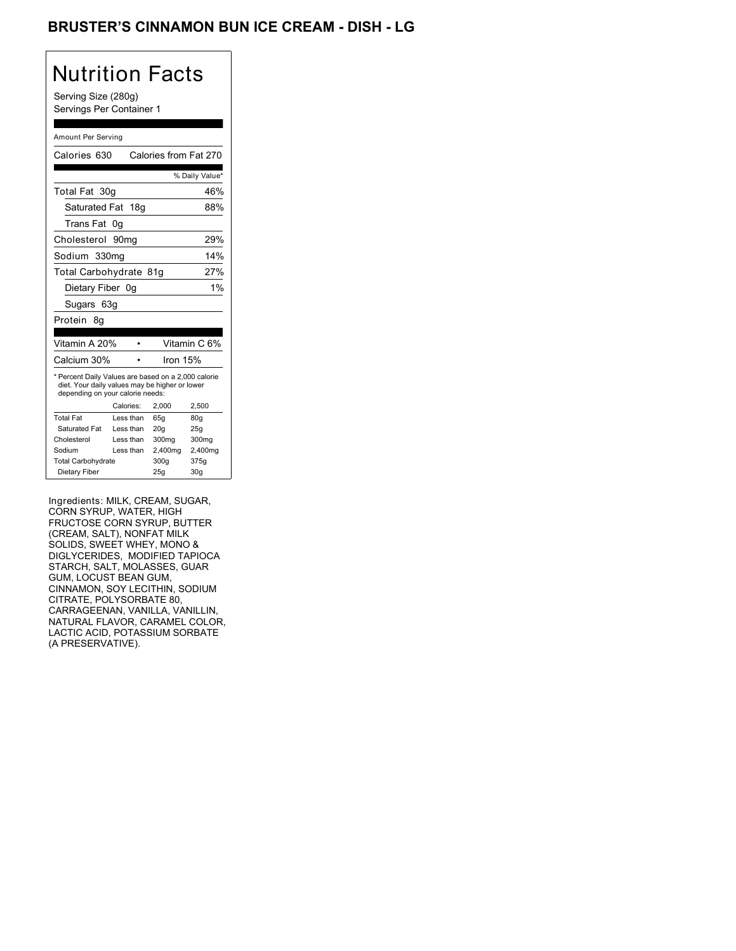## BRUSTER'S CINNAMON BUN ICE CREAM - DISH - LG

# Nutrition Facts

Serving Size (280g) Servings Per Container 1

#### Amount Per Serving

| Calories 630                                                                                                                              |                  | Calories from Fat 270 |                |
|-------------------------------------------------------------------------------------------------------------------------------------------|------------------|-----------------------|----------------|
|                                                                                                                                           |                  |                       |                |
|                                                                                                                                           |                  |                       | % Daily Value* |
| Total Fat 30g                                                                                                                             |                  |                       | 46%            |
| Saturated Fat                                                                                                                             | 18q              |                       | 88%            |
| Trans Fat                                                                                                                                 | 0q               |                       |                |
| Cholesterol                                                                                                                               | 90 <sub>mq</sub> |                       | 29%            |
| Sodium 330mg                                                                                                                              |                  |                       | 14%            |
| Total Carbohydrate 81g                                                                                                                    |                  |                       | 27%            |
| Dietary Fiber 0g                                                                                                                          |                  |                       | 1%             |
| Sugars 63g                                                                                                                                |                  |                       |                |
| Protein 8q                                                                                                                                |                  |                       |                |
|                                                                                                                                           |                  |                       |                |
| Vitamin A 20%                                                                                                                             |                  |                       | Vitamin C 6%   |
| Calcium 30%                                                                                                                               |                  | Iron 15%              |                |
| * Percent Daily Values are based on a 2,000 calorie<br>diet. Your daily values may be higher or lower<br>depending on your calorie needs: |                  |                       |                |
|                                                                                                                                           | Calories:        | 2.000                 | 2,500          |
| <b>Total Fat</b>                                                                                                                          | Less than        | 65q                   | 80q            |
| Saturated Fat                                                                                                                             | Less than        | 20q                   | 25g            |
| Cholesterol                                                                                                                               | Less than        | 300mg                 | 300mg          |
| Sodium                                                                                                                                    | Less than        | 2,400mg               | 2,400mg        |
| <b>Total Carbohydrate</b>                                                                                                                 |                  | 300g                  | 375g           |
| Dietary Fiber                                                                                                                             |                  | 25q                   | 30q            |

Ingredients: MILK, CREAM, SUGAR, CORN SYRUP, WATER, HIGH FRUCTOSE CORN SYRUP, BUTTER (CREAM, SALT), NONFAT MILK SOLIDS, SWEET WHEY, MONO & DIGLYCERIDES, MODIFIED TAPIOCA STARCH, SALT, MOLASSES, GUAR GUM, LOCUST BEAN GUM, CINNAMON, SOY LECITHIN, SODIUM CITRATE, POLYSORBATE 80, CARRAGEENAN, VANILLA, VANILLIN, NATURAL FLAVOR, CARAMEL COLOR, LACTIC ACID, POTASSIUM SORBATE (A PRESERVATIVE).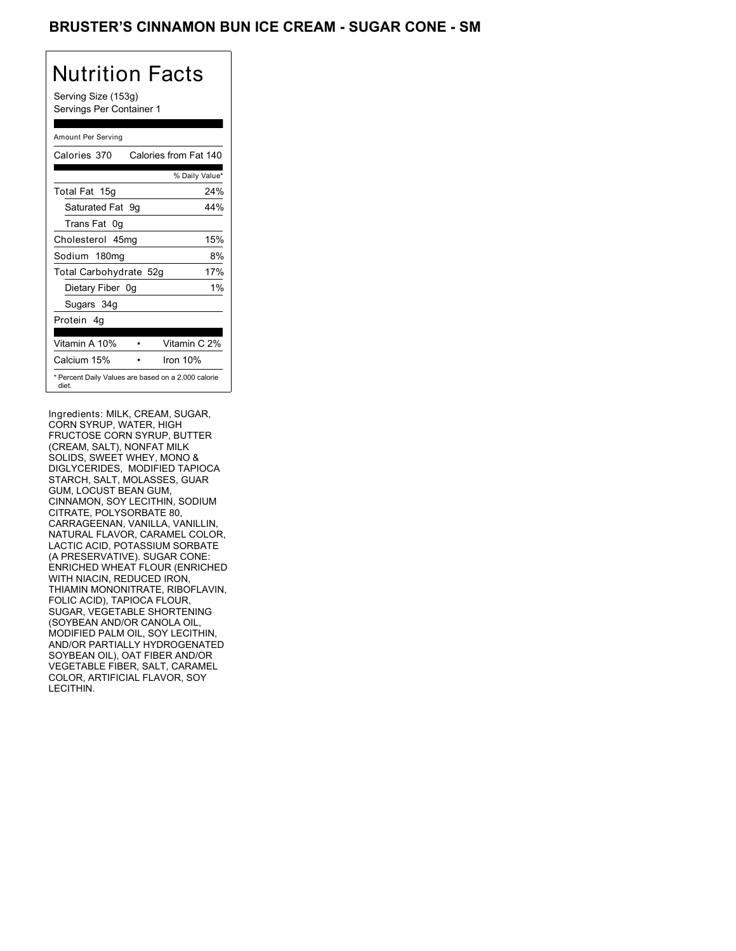### BRUSTER'S CINNAMON BUN ICE CREAM - SUGAR CONE - SM

# Nutrition Facts

Serving Size (153g) Servings Per Container 1

### Amount Per Serving

| Calories 370           | Calories from Fat 140                               |
|------------------------|-----------------------------------------------------|
|                        | % Daily Value*                                      |
| Total Fat 15g          | 24%                                                 |
| Saturated Fat 9g       | 44%                                                 |
| Trans Fat 0q           |                                                     |
| Cholesterol 45mg       | 15%                                                 |
| Sodium 180mg           | 8%                                                  |
| Total Carbohydrate 52g | 17%                                                 |
| Dietary Fiber 0g       | $1\%$                                               |
| Sugars 34g             |                                                     |
| Protein 4q             |                                                     |
| Vitamin A 10%          | Vitamin C 2%                                        |
| Calcium 15%            | Iron $10%$                                          |
| diet.                  | * Percent Daily Values are based on a 2,000 calorie |

Ingredients: MILK, CREAM, SUGAR, CORN SYRUP, WATER, HIGH FRUCTOSE CORN SYRUP, BUTTER (CREAM, SALT), NONFAT MILK SOLIDS, SWEET WHEY, MONO & DIGLYCERIDES, MODIFIED TAPIOCA STARCH, SALT, MOLASSES, GUAR GUM, LOCUST BEAN GUM, CINNAMON, SOY LECITHIN, SODIUM CITRATE, POLYSORBATE 80, CARRAGEENAN, VANILLA, VANILLIN, NATURAL FLAVOR, CARAMEL COLOR, LACTIC ACID, POTASSIUM SORBATE (A PRESERVATIVE). SUGAR CONE: ENRICHED WHEAT FLOUR (ENRICHED WITH NIACIN, REDUCED IRON, THIAMIN MONONITRATE, RIBOFLAVIN, FOLIC ACID), TAPIOCA FLOUR, SUGAR, VEGETABLE SHORTENING (SOYBEAN AND/OR CANOLA OIL, MODIFIED PALM OIL, SOY LECITHIN, AND/OR PARTIALLY HYDROGENATED SOYBEAN OIL), OAT FIBER AND/OR VEGETABLE FIBER, SALT, CARAMEL COLOR, ARTIFICIAL FLAVOR, SOY LECITHIN.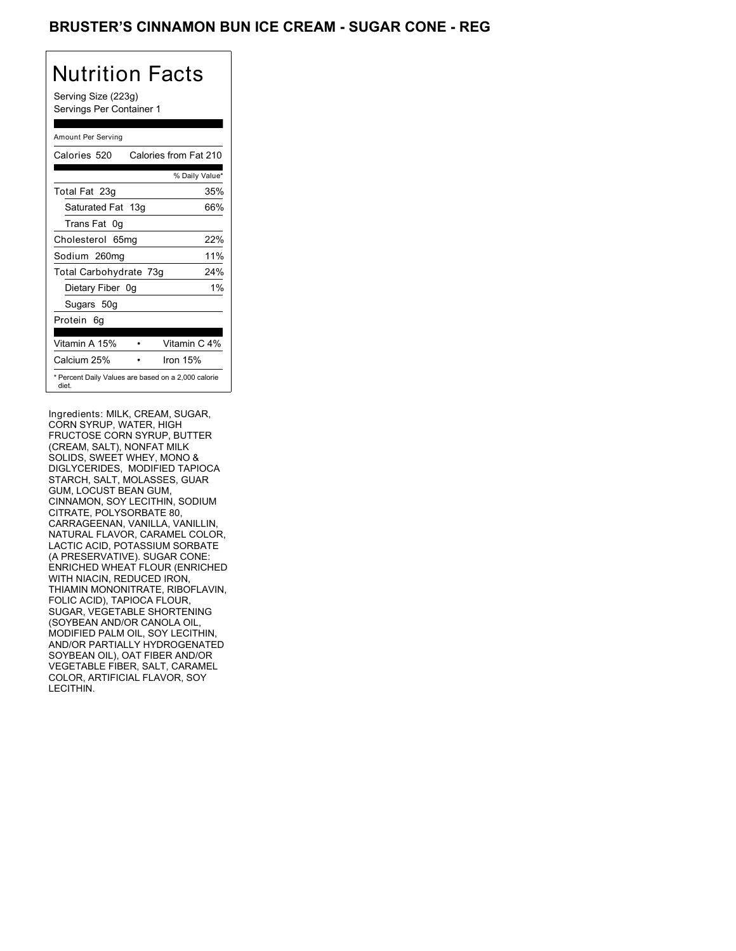## BRUSTER'S CINNAMON BUN ICE CREAM - SUGAR CONE - REG

# Nutrition Facts

Serving Size (223g) Servings Per Container 1

### Amount Per Serving

| Calories 520           | Calories from Fat 210                               |
|------------------------|-----------------------------------------------------|
|                        | % Daily Value*                                      |
| Total Fat 23g          | 35%                                                 |
| Saturated Fat 13g      | 66%                                                 |
| Trans Fat 0q           |                                                     |
| Cholesterol 65mg       | 22%                                                 |
| Sodium 260mg           | 11%                                                 |
| Total Carbohydrate 73g | 24%                                                 |
| Dietary Fiber 0g       | $1\%$                                               |
| Sugars 50g             |                                                     |
| Protein 6q             |                                                     |
| Vitamin A 15%          | Vitamin C 4%                                        |
| Calcium 25%            | Iron $15%$                                          |
| diet.                  | * Percent Daily Values are based on a 2,000 calorie |

Ingredients: MILK, CREAM, SUGAR, CORN SYRUP, WATER, HIGH FRUCTOSE CORN SYRUP, BUTTER (CREAM, SALT), NONFAT MILK SOLIDS, SWEET WHEY, MONO & DIGLYCERIDES, MODIFIED TAPIOCA STARCH, SALT, MOLASSES, GUAR GUM, LOCUST BEAN GUM, CINNAMON, SOY LECITHIN, SODIUM CITRATE, POLYSORBATE 80, CARRAGEENAN, VANILLA, VANILLIN, NATURAL FLAVOR, CARAMEL COLOR, LACTIC ACID, POTASSIUM SORBATE (A PRESERVATIVE). SUGAR CONE: ENRICHED WHEAT FLOUR (ENRICHED WITH NIACIN, REDUCED IRON, THIAMIN MONONITRATE, RIBOFLAVIN, FOLIC ACID), TAPIOCA FLOUR, SUGAR, VEGETABLE SHORTENING (SOYBEAN AND/OR CANOLA OIL, MODIFIED PALM OIL, SOY LECITHIN, AND/OR PARTIALLY HYDROGENATED SOYBEAN OIL), OAT FIBER AND/OR VEGETABLE FIBER, SALT, CARAMEL COLOR, ARTIFICIAL FLAVOR, SOY LECITHIN.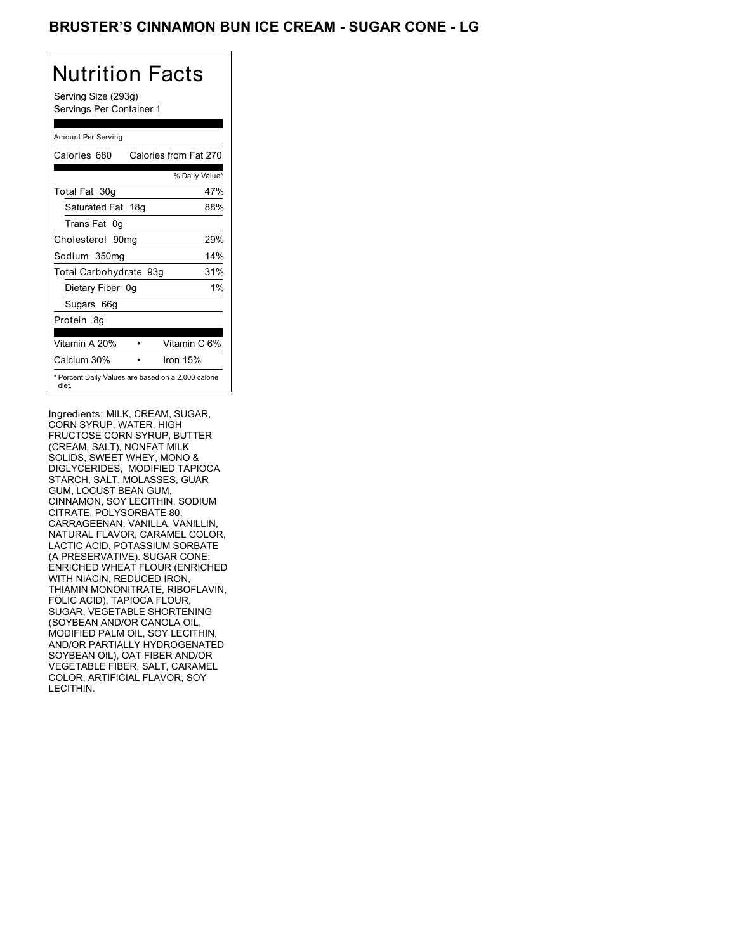## BRUSTER'S CINNAMON BUN ICE CREAM - SUGAR CONE - LG

## Nutrition Facts

Serving Size (293g) Servings Per Container 1

#### Amount Per Serving

| Calories 680           | Calories from Fat 270                               |
|------------------------|-----------------------------------------------------|
|                        | % Daily Value*                                      |
| Total Fat 30g          | 47%                                                 |
| Saturated Fat 18g      | 88%                                                 |
| Trans Fat 0q           |                                                     |
| Cholesterol 90mg       | 29%                                                 |
| Sodium 350mg           | 14%                                                 |
| Total Carbohydrate 93g | 31%                                                 |
| Dietary Fiber 0g       | $1\%$                                               |
| Sugars 66g             |                                                     |
| Protein 8q             |                                                     |
| Vitamin A 20%          | Vitamin C 6%                                        |
| Calcium 30%            | Iron $15%$                                          |
| diet.                  | * Percent Daily Values are based on a 2,000 calorie |

Ingredients: MILK, CREAM, SUGAR, CORN SYRUP, WATER, HIGH FRUCTOSE CORN SYRUP, BUTTER (CREAM, SALT), NONFAT MILK SOLIDS, SWEET WHEY, MONO & DIGLYCERIDES, MODIFIED TAPIOCA STARCH, SALT, MOLASSES, GUAR GUM, LOCUST BEAN GUM, CINNAMON, SOY LECITHIN, SODIUM CITRATE, POLYSORBATE 80, CARRAGEENAN, VANILLA, VANILLIN, NATURAL FLAVOR, CARAMEL COLOR, LACTIC ACID, POTASSIUM SORBATE (A PRESERVATIVE). SUGAR CONE: ENRICHED WHEAT FLOUR (ENRICHED WITH NIACIN, REDUCED IRON, THIAMIN MONONITRATE, RIBOFLAVIN, FOLIC ACID), TAPIOCA FLOUR, SUGAR, VEGETABLE SHORTENING (SOYBEAN AND/OR CANOLA OIL, MODIFIED PALM OIL, SOY LECITHIN, AND/OR PARTIALLY HYDROGENATED SOYBEAN OIL), OAT FIBER AND/OR VEGETABLE FIBER, SALT, CARAMEL COLOR, ARTIFICIAL FLAVOR, SOY LECITHIN.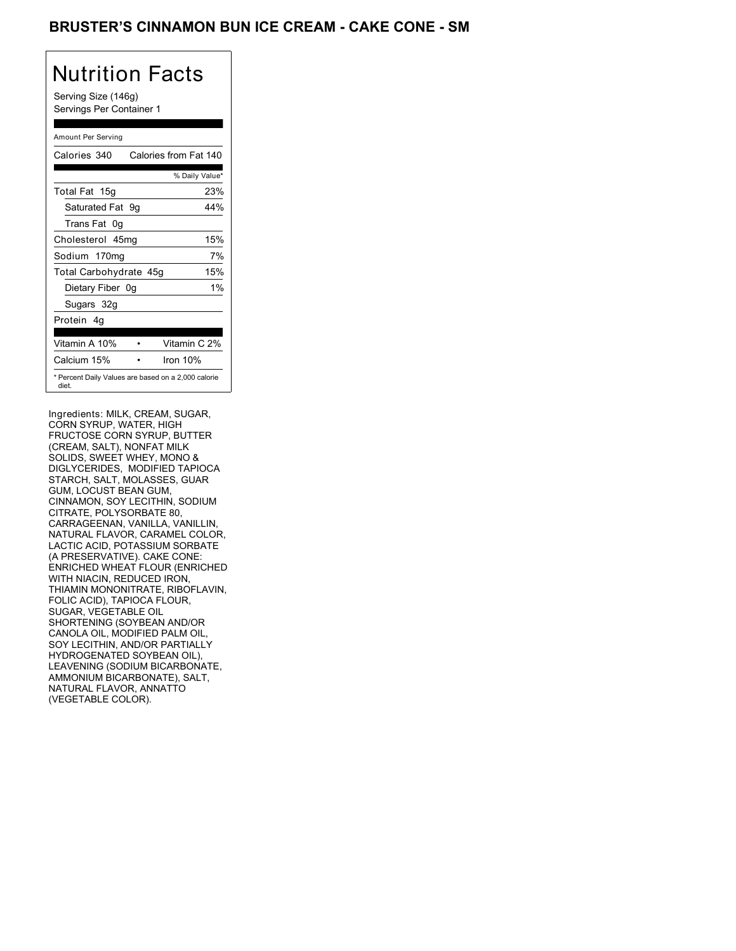## BRUSTER'S CINNAMON BUN ICE CREAM - CAKE CONE - SM

## Nutrition Facts

Serving Size (146g) Servings Per Container 1

### Amount Per Serving

| Calories 340           | Calories from Fat 140                               |       |
|------------------------|-----------------------------------------------------|-------|
|                        | % Daily Value*                                      |       |
| Total Fat 15g          |                                                     | 23%   |
| Saturated Fat 9q       |                                                     | 44%   |
| Trans Fat 0q           |                                                     |       |
| Cholesterol 45mg       |                                                     | 15%   |
| Sodium 170mg           |                                                     | 7%    |
| Total Carbohydrate 45g |                                                     | 15%   |
| Dietary Fiber 0g       |                                                     | $1\%$ |
| Sugars 32g             |                                                     |       |
| Protein 4q             |                                                     |       |
| Vitamin A 10%          | Vitamin C 2%                                        |       |
| Calcium 15%            | Iron $10%$                                          |       |
| diet.                  | * Percent Daily Values are based on a 2,000 calorie |       |

Ingredients: MILK, CREAM, SUGAR, CORN SYRUP, WATER, HIGH FRUCTOSE CORN SYRUP, BUTTER (CREAM, SALT), NONFAT MILK SOLIDS, SWEET WHEY, MONO & DIGLYCERIDES, MODIFIED TAPIOCA STARCH, SALT, MOLASSES, GUAR GUM, LOCUST BEAN GUM, CINNAMON, SOY LECITHIN, SODIUM CITRATE, POLYSORBATE 80, CARRAGEENAN, VANILLA, VANILLIN, NATURAL FLAVOR, CARAMEL COLOR, LACTIC ACID, POTASSIUM SORBATE (A PRESERVATIVE). CAKE CONE: ENRICHED WHEAT FLOUR (ENRICHED WITH NIACIN, REDUCED IRON, THIAMIN MONONITRATE, RIBOFLAVIN, FOLIC ACID), TAPIOCA FLOUR, SUGAR, VEGETABLE OIL SHORTENING (SOYBEAN AND/OR CANOLA OIL, MODIFIED PALM OIL, SOY LECITHIN, AND/OR PARTIALLY HYDROGENATED SOYBEAN OIL), LEAVENING (SODIUM BICARBONATE, AMMONIUM BICARBONATE), SALT, NATURAL FLAVOR, ANNATTO (VEGETABLE COLOR).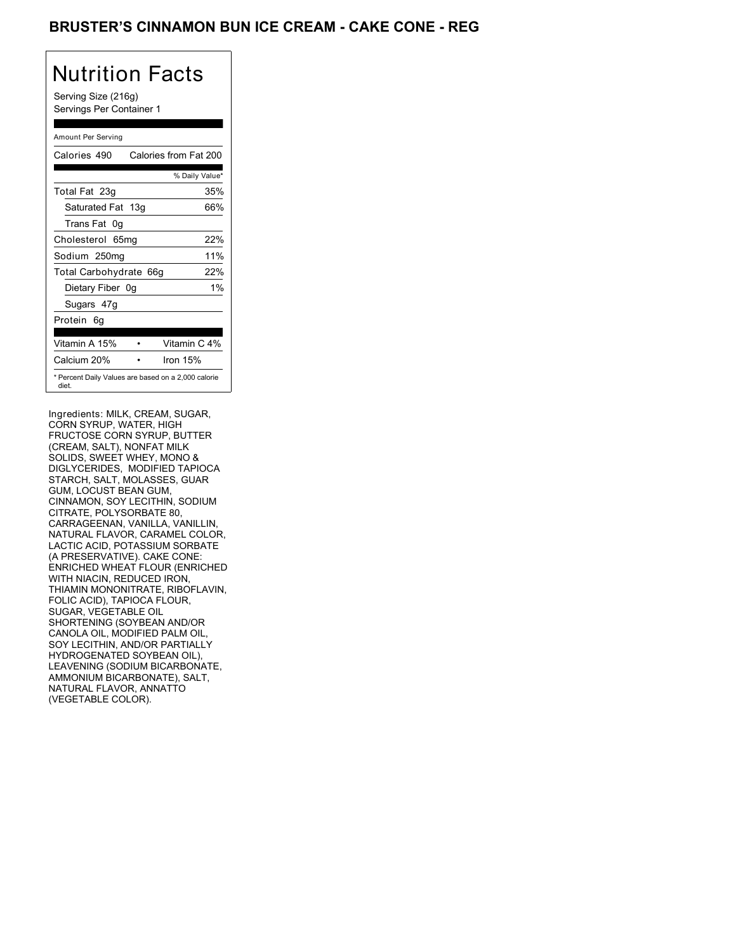## BRUSTER'S CINNAMON BUN ICE CREAM - CAKE CONE - REG

## Nutrition Facts

Serving Size (216g) Servings Per Container 1

### Amount Per Serving

| Calories 490                                                 | Calories from Fat 200 |
|--------------------------------------------------------------|-----------------------|
|                                                              | % Daily Value*        |
| Total Fat 23g                                                | 35%                   |
| Saturated Fat 13g                                            | 66%                   |
| Trans Fat 0q                                                 |                       |
| Cholesterol 65mg                                             | 22%                   |
| Sodium 250mg                                                 | 11%                   |
| Total Carbohydrate 66g                                       | 22%                   |
| Dietary Fiber 0g                                             | 1%                    |
| Sugars 47g                                                   |                       |
| Protein 6q                                                   |                       |
|                                                              |                       |
| Vitamin A 15%                                                | Vitamin C 4%          |
| Calcium 20%                                                  | Iron $15%$            |
| * Percent Daily Values are based on a 2,000 calorie<br>diet. |                       |

Ingredients: MILK, CREAM, SUGAR, CORN SYRUP, WATER, HIGH FRUCTOSE CORN SYRUP, BUTTER (CREAM, SALT), NONFAT MILK SOLIDS, SWEET WHEY, MONO & DIGLYCERIDES, MODIFIED TAPIOCA STARCH, SALT, MOLASSES, GUAR GUM, LOCUST BEAN GUM, CINNAMON, SOY LECITHIN, SODIUM CITRATE, POLYSORBATE 80, CARRAGEENAN, VANILLA, VANILLIN, NATURAL FLAVOR, CARAMEL COLOR, LACTIC ACID, POTASSIUM SORBATE (A PRESERVATIVE). CAKE CONE: ENRICHED WHEAT FLOUR (ENRICHED WITH NIACIN, REDUCED IRON, THIAMIN MONONITRATE, RIBOFLAVIN, FOLIC ACID), TAPIOCA FLOUR, SUGAR, VEGETABLE OIL SHORTENING (SOYBEAN AND/OR CANOLA OIL, MODIFIED PALM OIL, SOY LECITHIN, AND/OR PARTIALLY HYDROGENATED SOYBEAN OIL), LEAVENING (SODIUM BICARBONATE, AMMONIUM BICARBONATE), SALT, NATURAL FLAVOR, ANNATTO (VEGETABLE COLOR).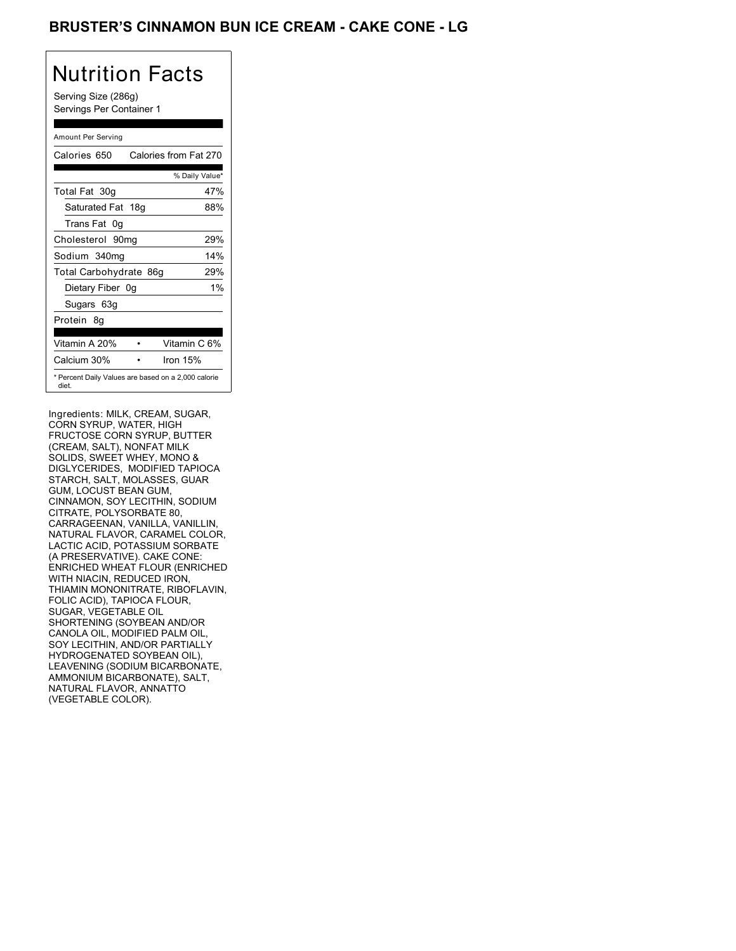## BRUSTER'S CINNAMON BUN ICE CREAM - CAKE CONE - LG

# Nutrition Facts

Serving Size (286g) Servings Per Container 1

### Amount Per Serving

| Calories 650                                                 | Calories from Fat 270 |
|--------------------------------------------------------------|-----------------------|
|                                                              | % Daily Value*        |
| Total Fat 30g                                                | 47%                   |
| Saturated Fat 18g                                            | 88%                   |
| Trans Fat 0q                                                 |                       |
| Cholesterol 90mg                                             | 29%                   |
| Sodium 340mg                                                 | 14%                   |
| Total Carbohydrate 86g                                       | 29%                   |
| Dietary Fiber 0g                                             | $1\%$                 |
| Sugars 63g                                                   |                       |
| Protein 8q                                                   |                       |
| Vitamin A 20%                                                | Vitamin C 6%          |
| Calcium 30%                                                  | Iron $15%$            |
| * Percent Daily Values are based on a 2,000 calorie<br>diet. |                       |

Ingredients: MILK, CREAM, SUGAR, CORN SYRUP, WATER, HIGH FRUCTOSE CORN SYRUP, BUTTER (CREAM, SALT), NONFAT MILK SOLIDS, SWEET WHEY, MONO & DIGLYCERIDES, MODIFIED TAPIOCA STARCH, SALT, MOLASSES, GUAR GUM, LOCUST BEAN GUM, CINNAMON, SOY LECITHIN, SODIUM CITRATE, POLYSORBATE 80, CARRAGEENAN, VANILLA, VANILLIN, NATURAL FLAVOR, CARAMEL COLOR, LACTIC ACID, POTASSIUM SORBATE (A PRESERVATIVE). CAKE CONE: ENRICHED WHEAT FLOUR (ENRICHED WITH NIACIN, REDUCED IRON, THIAMIN MONONITRATE, RIBOFLAVIN, FOLIC ACID), TAPIOCA FLOUR, SUGAR, VEGETABLE OIL SHORTENING (SOYBEAN AND/OR CANOLA OIL, MODIFIED PALM OIL, SOY LECITHIN, AND/OR PARTIALLY HYDROGENATED SOYBEAN OIL), LEAVENING (SODIUM BICARBONATE, AMMONIUM BICARBONATE), SALT, NATURAL FLAVOR, ANNATTO (VEGETABLE COLOR).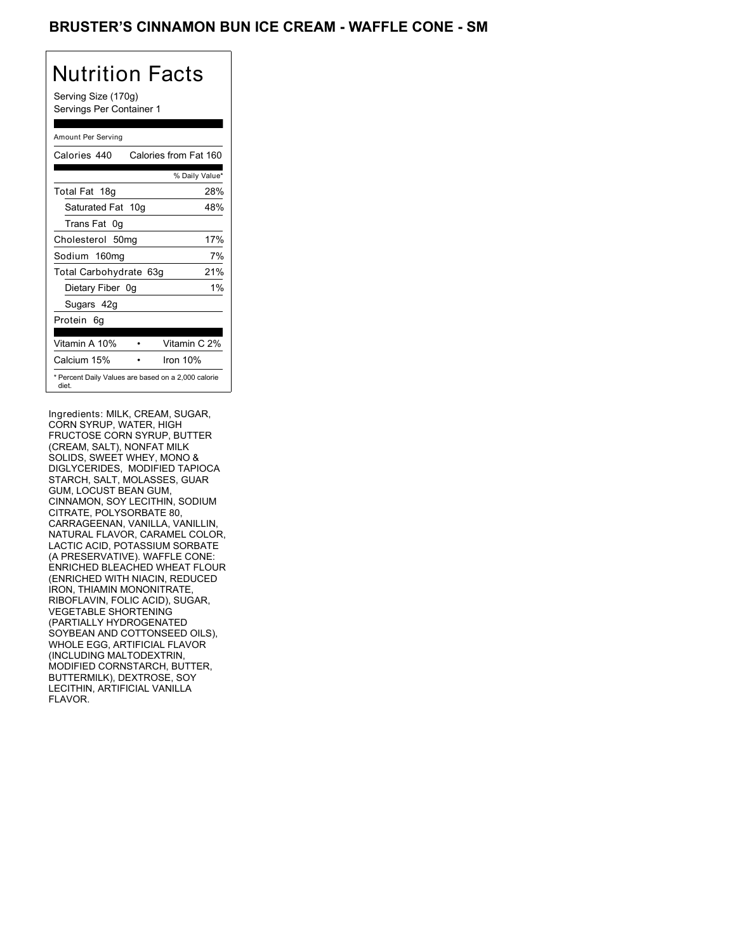## BRUSTER'S CINNAMON BUN ICE CREAM - WAFFLE CONE - SM

# Nutrition Facts

Serving Size (170g) Servings Per Container 1

### Amount Per Serving

| Calories 440                                                 | Calories from Fat 160 |
|--------------------------------------------------------------|-----------------------|
|                                                              | % Daily Value*        |
| Total Fat 18g                                                | 28%                   |
| Saturated Fat 10g                                            | 48%                   |
| Trans Fat 0q                                                 |                       |
| Cholesterol 50mg                                             | 17%                   |
| Sodium 160mg                                                 | 7%                    |
| Total Carbohydrate 63g                                       | 21%                   |
| Dietary Fiber 0g                                             | $1\%$                 |
| Sugars 42g                                                   |                       |
| Protein 6q                                                   |                       |
| Vitamin A 10%                                                | Vitamin C 2%          |
| Calcium 15%                                                  | Iron $10%$            |
| * Percent Daily Values are based on a 2,000 calorie<br>diet. |                       |

Ingredients: MILK, CREAM, SUGAR, CORN SYRUP, WATER, HIGH FRUCTOSE CORN SYRUP, BUTTER (CREAM, SALT), NONFAT MILK SOLIDS, SWEET WHEY, MONO & DIGLYCERIDES, MODIFIED TAPIOCA STARCH, SALT, MOLASSES, GUAR GUM, LOCUST BEAN GUM, CINNAMON, SOY LECITHIN, SODIUM CITRATE, POLYSORBATE 80, CARRAGEENAN, VANILLA, VANILLIN, NATURAL FLAVOR, CARAMEL COLOR, LACTIC ACID, POTASSIUM SORBATE (A PRESERVATIVE). WAFFLE CONE: ENRICHED BLEACHED WHEAT FLOUR (ENRICHED WITH NIACIN, REDUCED IRON, THIAMIN MONONITRATE, RIBOFLAVIN, FOLIC ACID), SUGAR, VEGETABLE SHORTENING (PARTIALLY HYDROGENATED SOYBEAN AND COTTONSEED OILS), WHOLE EGG, ARTIFICIAL FLAVOR (INCLUDING MALTODEXTRIN, MODIFIED CORNSTARCH, BUTTER, BUTTERMILK), DEXTROSE, SOY LECITHIN, ARTIFICIAL VANILLA FLAVOR.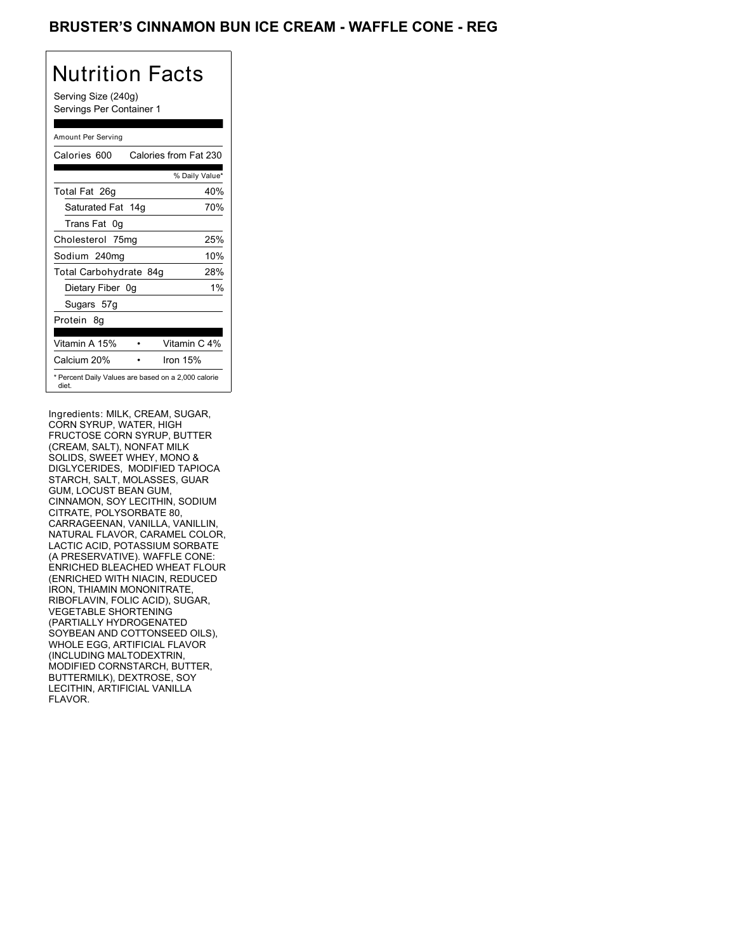## BRUSTER'S CINNAMON BUN ICE CREAM - WAFFLE CONE - REG

# Nutrition Facts

Serving Size (240g) Servings Per Container 1

### Amount Per Serving

| Calories 600                                                 | Calories from Fat 230 |
|--------------------------------------------------------------|-----------------------|
|                                                              | % Daily Value*        |
| Total Fat 26g                                                | 40%                   |
| Saturated Fat 14g                                            | 70%                   |
| Trans Fat 0q                                                 |                       |
| Cholesterol 75mg                                             | 25%                   |
| Sodium 240mg                                                 | 10%                   |
| Total Carbohydrate 84g                                       | 28%                   |
| Dietary Fiber 0g                                             | $1\%$                 |
| Sugars 57g                                                   |                       |
| Protein 8q                                                   |                       |
| Vitamin A 15%                                                | Vitamin C 4%          |
| Calcium 20%                                                  | Iron $15%$            |
| * Percent Daily Values are based on a 2,000 calorie<br>diet. |                       |

Ingredients: MILK, CREAM, SUGAR, CORN SYRUP, WATER, HIGH FRUCTOSE CORN SYRUP, BUTTER (CREAM, SALT), NONFAT MILK SOLIDS, SWEET WHEY, MONO & DIGLYCERIDES, MODIFIED TAPIOCA STARCH, SALT, MOLASSES, GUAR GUM, LOCUST BEAN GUM, CINNAMON, SOY LECITHIN, SODIUM CITRATE, POLYSORBATE 80, CARRAGEENAN, VANILLA, VANILLIN, NATURAL FLAVOR, CARAMEL COLOR, LACTIC ACID, POTASSIUM SORBATE (A PRESERVATIVE). WAFFLE CONE: ENRICHED BLEACHED WHEAT FLOUR (ENRICHED WITH NIACIN, REDUCED IRON, THIAMIN MONONITRATE, RIBOFLAVIN, FOLIC ACID), SUGAR, VEGETABLE SHORTENING (PARTIALLY HYDROGENATED SOYBEAN AND COTTONSEED OILS), WHOLE EGG, ARTIFICIAL FLAVOR (INCLUDING MALTODEXTRIN, MODIFIED CORNSTARCH, BUTTER, BUTTERMILK), DEXTROSE, SOY LECITHIN, ARTIFICIAL VANILLA FLAVOR.